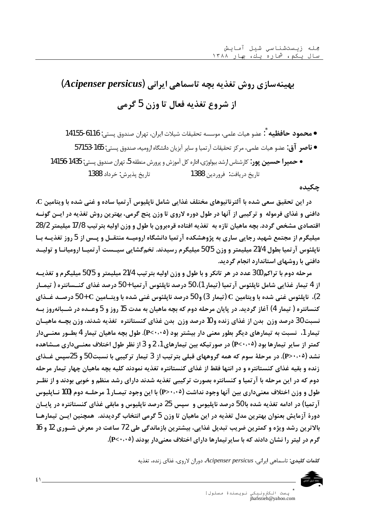# بهینهسازی روش تغذیه بچه تاسماهی ایرانی (Acipenser persicus) از شروع تغذيه فعال تا وزن 5 گرمي

چکیده

در این تحقیق سعی شده با آلترناتیوهای مختلف غذایی شامل ناپلیوس آرتمیا ساده و غنی شده با ویتامین C، دافنی و غذای فرموله ۖ و ترکیبی از آنها در طول دوره لاروی تا وزن پنج گرمی، بهترین روش تغذیه در ایــن گونــه اقتصادي مشخص گردد. بچه ماهيان تازه به تغذيه افتاده قرهبرون با طول و وزن اوليه بتر تيب 17/8 ميليمتر 28/2 میلیگرم از مجتمع شهید رجایی ساری به پژوهشکده آرتمیا دانشگاه ارومیــه منتقــل و پــس از 5 روز تغذیــه بـا ناپلئوس آرتمیا بطول 21/4 میلیمتر و وزن 50/5 میلیگرم رسیدند. تخمگشایی سیــست آرتمیــا ارومیانــا و تولیــد دافنی با روشهای استاندارد انجام گردید.

مرحله دوم با تراکم 300 عدد در هر تانکر و با طول و وزن اوليه بتر تيب 21/4 ميليمتر و 50/5 ميليگرم و تغذيــه از 4 تيمار غذايي شامل نايلئوس آر تميا (تيمار 1)، 50 درصد نايلئوس آر تميا + 50 درصد غذاي كنــسانتره ( تيمــار 2)، ناپلئوس غني شده با ويتامين C (تيمار 3) و 50 درصد ناپلئوس غني شده با ويتــامين C + 50 درصــد غــذاي کنسانتره ( تیمار 4) آغاز گردید. در پایان مرحله دوم که بچه ماهیان به مدت 15 روز و 5 وعــده در شــبانهروز بــه نسبت 30 درصد وزن ٍ بدن از غذاي زنده و 10 درصد وزن ٍ بدن غذاي كنستانتره ٍ تغذيه شدند، وزن بچــه ماهيــان تیمار 1، نسبت به تیمارهای دیگر بطور معنی دار بیشتر بود (P<۰۰۰۵). طول بچه ماهیان تیمار 4 بطــور معنــیدار کمتر از سایر تیمارها بود (P<۰۰۰۵) در صورتیکه بین تیمارهای 1، 2 و 3 از نظر طول اختلاف معنــیداری مــشاهده نشد (P>۰۰۰۵). در مرحلهٔ سوم که همه گروههای قبلی بترتیب از 3 تیمار ترکیبی با نسبت 50 و 25سپس غــذای زنده و بقيه غذاي كنستانتره و در انتها فقط از غذاي كنستانتره تغذيه نمودند كليه بچه ماهيان چهار تيمار مرحله دوم که در این مرحله با آرتمیا و کنسانتره بصورت ترکیبی تغذیه شدند دارای رشد منظم و خوبی بودند و از نظــر طول و وزن اختلاف معنیداری بین آنها وجود نداشت (P>۰٫۰۵) با این وجود تیمــار 1 مرحلــه دوم (100 نــاپلیوس آرتمیا) در ادامه تغذیه شده با 50 درصد ناپلیوس و سپس 25 درصد ناپلیوس و مابقی غذای کنستانتره در پایــان دورهٔ آزمایش بعنوان بهترین مدل تغذیه در این ماهیان تا وزن 5 گرمی انتخاب گردیدند. همچنین ایــن تیمارهــا بالاترين رشد ويژه و كمترين ضريب تبديل غذايي، بيشترين بازماندگي طي 72 ساعت در معرض شــوري 12 و 16 گرم در لیتر را نشان دادند که با سایر تیمارها دارای اختلاف معنی دار بودند (P<۰۰۰).

كلمات كليدي: تاسماهي ايراني، Acipenser persicus دوران لاروي، غذاي زنده، تغذيه



 $21$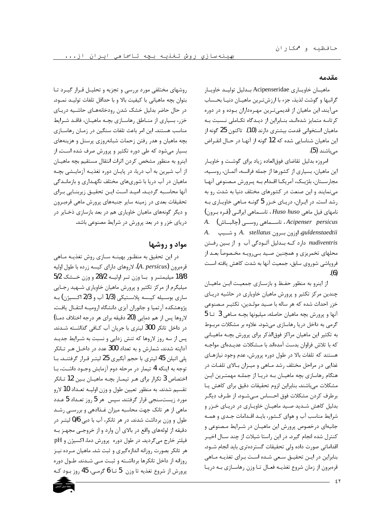#### مقدمه

ماهيـان خاويـارى Acipenseridae بـدليل توليـد خاويـار گرانبها و گوشت لذيذ، جزء با ارزش تـرين ماهيـان دنيـا بحـساب می آیند. این ماهیان از قدیمیترین مهـرهداران بـوده و در دوره کرتاسه متمایز شدهانـد. بنــابراین از دیـدگاه تکــاملی نــسبت بــه ماهیان استخوانی قدمت بیشتری دارند (10). تاکنون 25 گونه از این ماهیان شناسایی شده که 12 گونه از آنهـا در حـال انقـراض مے باشند (5).

امروزه بدلیل تقاضای فوق|لعاده زیاد برای گوشت و خاویـار این ماهیان، بسیاری از کشورها از جمله فرانسه، آلمـان، روسـیه، مجارستان، بلژیک، آمریکا اقـدام بـه پـرورش مـصنوعی آنهـا می نمایند و این صنعت در کشورهای مختلف دنیا به شدت رو به رشد است. در ایران، دریای خزر 5 گونه ماهی خاویاری به  $\left( \right)$ نامهای فیل ماهی Huso huso ، تاســماهی ایرانــی (قـره بـرون) Acipenser persicus، تاســماهي روســي (چالبــاش) A. A. stellatus اوزون بهرون fallatus و شــيپ A. stellatus nudiventris دارد کـه بـدليل آلـودگي آب و از بـين رفـتن محلهای تخمریزی و همچنین صـید بـی٫ویـه مخـصوصاً بعـد از فروپاشی شوروی سابق، جمعیت آنها به شدت کاهش یافته است  $(6)$ 

از اینرو به منظور حفظ و بازسازی جمعیت این ماهیان چندین مرکز تکثیر و پرورش ماهیان خاویاری در حاشیه دریای خزر احداث شده که هر ساله با صـيد مولـدين، تکثيـر مـصنوعي آنها و پرورش بچه ماهيان حاصله، ميليونها بچـه مـاهي 3 تـا 5 گرمی به داخل دریا رهاسازی میشود. علاوه بر مشکلات مربوط به تکثیر این ماهیان مراکز فوق|لذکر برای پرورش بچـه ماهیـانی که با تلاش فراوان بدست آمدهاند با مـشکلات عدیـدهای مواجـه هستند که تلفات بالا در طول دوره پرورش، عدم وجود نیازهـای غذایی در مراحل مختلف رشد مـاهی و میـزان بـالای تلفـات در هنگام رهاسازی بچه ماهیـان بـه دریـا از جملـه مهمتـرین ایـن مشكلات مىباشند. بنابراين لزوم تحقيقات دقيق براى كاهش يا برطرف كردن مشكلات فوق احـساس مـىشـود. از طـرف ديگـر بدلیل کاهش شـدید صـید ماهیـان خاویـاری در دریـای خـزر و شرایط مناسب آب و هوای کـشور، بایـد اقـدامات جـدی و همـه جانبهای درخصوص پرورش این ماهیـان در شـرایط مـصنوعی و کنترل شده انجام گیرد. در این راستا شیلات از چند سـال اخیـر اقداماتی صورت داده ولی تحقیقات گستردهتری باید انجام شـود. بنابراین در ایـن تحقیـق سـعی شـده اسـت بـرای تغذیـه مـاهی قرهبرون از زمان شروع تغذيـه فعـال تـا وزن رهاسـازي بـه دريـا

روشهای مختلفی مورد بررسی و تجزیه و تحلیـل قـرار گیـرد تـا بتوان بچه ماهیانی با کیفیت بالا و با حداقل تلفات تولیـد نمـود. در حال حاضر بدلیل خشک شدن رودخانههـای حاشـیه دریـای خزر، بسیاری از منــاطق رهاســازی بچــه ماهیــان، فاقــد شــرایط مناسب هستند. این امر باعث تلفات سنگین در زمـان رهاسـازی بچه ماهیان و هدر رفتن زحمات شبانهروزی پرسنل و هزینههای بسیار میشود که طی دوره تکثیر و پرورش صرف شده است. از اینرو به منظور مشخص کردن اثرات انتقال مستقیم بچه ماهیـان از آب شیرین به آب دریا، در پایـان دوره تغذیـه آزمایـشی بچـه ماهیان در آب دریا با شوریهای مختلف نگهـداری و بازمانـدگی آنها محاسـبه گرديـد. اميـد اسـت ايـن تحقيـق زيربنـايي بـراي تحقیقات بعدی در زمینه سایر جنبههای پرورش ماهی قرهبرون و دیگر گونههای ماهیان خاویاری هم در بعد بازسازی ذخـایر در دریای خزر و در بعد پرورش در شرایط مصنوعی باشد.

## مواد و روشها

در این تحقیق به منظـور بهینـه سـازی روش تغذیـه مـاهی قرەبرون (A. persicus)، لاروهاي داراي كيسه زرده با طول اوليه 18/8 میلیمتـر و بـا وزن تـر اولیــه 28/2 و وزن خــشک 5/2 میلیگرم از مرکز تکثیر و پرورش ماهیان خاویاری شـهید رجـایی ساري بوسـيله کيــسه پلاسـتيکي (1/3 آب و 2/3 اکـسيژن) بــه یژوهشکده آرتمیا و جانوران آبزی دانشگاه ارومیـه انتقـال یافـت. لاروها پس از هم دمايي (20 دقيقه براي هر درجه اختلاف دمـا) در داخل تانکر 300 لیتری با جریان آب کـافی گذاشـته شـدند. یس از سه روز لاروها که تنش زدایی و نسبت به شـرایط جدیـد آداپته شدند، شمارش و به تعداد 300 عدد در داخـل هـر تــانكر پلی اتیلن 45 لیتری با حجم آبگیری 25 لیتر قرار گرفتنـد. بـا توجه به اینکه 4 تیمار در مرحله دوم آزمایش وجـود داشـت، بـا اختصاص 3 تكرار براي هـر تيمـار بچـه ماهيـان بـين 12 تـانكر تقسیم شدند. به منظور تعیین طول و وزن اولیــه تعـداد 10 لارو مورد زیستسنجی قرار گرفتند. سپس هر 5 روز تعـداد 5 عـدد ماهی از هر تانک جهت محاسبه میزان غـذادهی و بررسـی رشـد طول و وزن برداشت شدند. در هر تانکر، آب با دبی 0/6 لیتـر در دقیقه از لولههای واقع در بالای آن وارد و از خروجے مجهـز بــه فیلتر خارج میگردید. در طول دوره پرورش دما، اکسیژن و pH هر تانکر بصورت روزانه اندازهگیری و ثبت شد. ماهیان مـرده نیـز روزانه از داخل تانکرها برداشته و ثبت مـی شـدند. طـول دوره پرورش از شروع تغذيه تا وزن 5 تــا 6 گرمـي، 45 روز بـود كـه

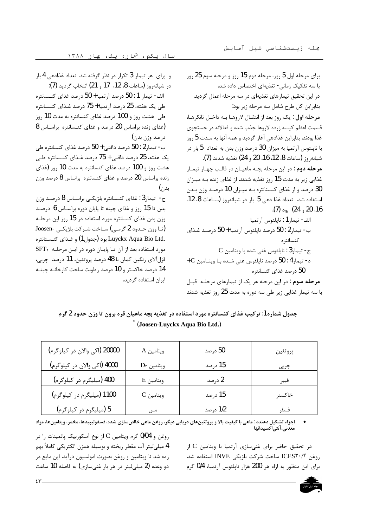و برای هر تیمار 3 تکرار در نظر گرفته شد. تعداد غذادهی 4 بار در شبانه, وز (ساعات 8، 12، 17 و 21) انتخاب گردید (7): الف- تيمار 1 : 50 درصد آرتميا + 50 درصد غذاي كنــسانتره طی یک هفته، 25 درصد آرتمیا + 75 درصد غـذای کنــسانتره طی هشت روز و 100 درصد غذای کنسانتره به مدت 10 روز (غذای زنده براساس 20 درصد و غذای کنـسانتره براسـاس 8 درصد وزن بدن) ب- تیمار 2 : 50 درصد دافنی + 50 درصد غذای کنسانتره طی یک هفته، 25 درصد دافنی + 75 درصد غـذای کنـسانتره طـی هشت روز و 100 درصد غذای کنسانتره به مدت 10 روز (غذای زنده براساس 20 درصد و غذای کنسانتره براساس 8 درصد وزن بدن) ج- تیمار3 : غذای کنـسانتره بلژیکـی براسـاس 8 درصـد وزن بدن تا 15 روز و غذای چینه تا پایان دوره براسـاس 6 درصـد وزن بدن غذای کنسانتره مورد استفاده در 15 روز این مرحلـه (تــا وزن حــدود 2 گرمـی) ســاخت شــركت بلژيكــی -Joosen .Luyckx Aqua Bio Ltd بود (جدول1) و غـذاي كنـستانتره مورد استفاده بعد از آن تا پایان دوره در این مرحله SFT قزل آلاي رنگين كمان با 48 درصد پروتئين، 11 درصد چربي، 14 درصد خاکستر و 10 درصد رطوبت ساخت کارخانـه چینـه ایران استفاده گردید.

برای مرحله اول 5 روز، مرحله دوم 15 روز و مرحله سوم 25 روز با سه تفکیک زمانی- تغذیهای اختصاص داده شد. در این تحقیق تیمارهای تغذیهای در سه مرحله اعمال گردید. بنابراین کل طرح شامل سه مرحله زیر بود: مرحله اول: یک روز بعد از انتقـال لاروهـا بـه داخـل تانکرهـا، قسمت اعظم کیسه زرده لاروها جذب شده و فعالانه در جستجوی غذا بودند. بنابراین غذادهی آغاز گردید و همه آنها به مـدت 5 روز با ناپلئوس آرتميا به ميزان 30 درصد وزن بدن به تعداد  $5$  بار در شبانهروز (ساعات 8، 12، 16، 20 و 24) تغذيه شدند (7). مرحله دوم : در این مرحله بچـه ماهیـان در قالـب چهـار تیمـار غذایی زیر به مدت 15 روز تغذیه شدند. از غذای زنده بـه میـزان 30 درصد و از غذای کنستانتره بـه میـزان 10 درصـد وزن بـدن استفاده شد. تعداد غذا دهی 5 بار در شبانهروز (ساعات 8، 12، 16، 20 و 24) بود (7). الف- تيمار 1 : ناپلئوس آرتميا ب- تيمار 2 : 50 درصد ناپلئوس آرتميا + 50 درصـد غـذاي كنسانتره C ج- تيمار 3 : نايلئوس غني شده با ويتامين.  $+$  0 - تیمار $1$  : 50 درصد نایلئوس غنی شـده بـا ویتـامین  $\sim$ 50 درصد غذای کنسانتره مرحله سوم : در این مرحله هر یک از تیمارهای مرحلـه قبـل با سه تیمار غذایی زیر طی سه دوره به مدت 25 روز تغذیه شدند

| جدول شماره 1: ترکیب غذای کنسانتره مورد استفاده در تغذیه بچه ماهیان قره برون تا وزن حدود 2 گرم |  |
|-----------------------------------------------------------------------------------------------|--|
| (Joosen-Luyckx Aqua Bio Ltd.)                                                                 |  |

| 20000 (اكى والان در كيلوگرم) | ويتامين A        | 50 درصد  | پروتئين |
|------------------------------|------------------|----------|---------|
| 4000 (اکی والان در کیلوگرم)  | $D_{r}$ ويتامين  | 15 درصد  | چربی    |
| 400 (میلیگرم در کیلوگرم)     | ويتامين E        | 2 درصد   | فيبر    |
| 1100 (میلیگرم در کیلوگرم)    | $\rm{C}$ ويتامين | 15 درصد  | خاكستر  |
| 5 (میلیگرم در کیلوگرم)       | مس               | 1/2 درصد | فسف     |

اجزاء تشکیل دهنده : ماهی با کیفیت بالا و پروتئینهای دریایی دیگر، روغن ماهی خالص سازی شده، فسفولیپیدها، مخمر، ویتامینها، مواد معدنی، آنتے اکسیدانها

> در تحقیق حاضر برای غنیسازی آرتمیا با ویتامین C از روغن ICES۳۰/۴ ساخت شركت بلژيكي INVE استفاده شد. برای این منظور به ازاء هر 200 هزار ناپلئوس آرتمیا، 0/4 گرم

روغن و 0/04 گرم ویتامین C از نوع آسکوربیک پالمیتات را در 4 میلی لیتر آب مقطر ریخته و بوسیله همزن الکتریکی کاملاً بهم زده شد تا ویتامین و روغن بصورت امولسیون درآید. این مایع در دو وعده (2 میلی لیتر در هر بار غنی سازی) به فاصله 10 ساعت

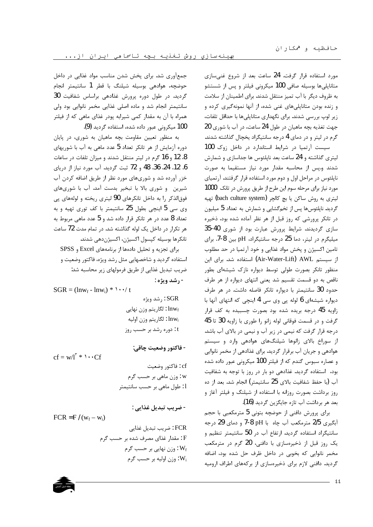مورد استفاده قرار گرفت. 24 ساعت بعد از شروع غنی سازی متانایلی ها بوسیله صافی 100 میکرونی فیلتر و پس از شستشو به ظروف دیگر با آب تمیز منتقل شدند. برای اطمینان از سلامت و زنده بودن متانایلی های غنی شده، از آنها نمونهگیری کرده و زیر لوپ بررسی شدند. برای نگهداری متاناپلیها با حداقل تلفات، جهت تغذيه بچه ماهيان در طول 24 ساعت، در آب با شوري 20 گرم در لیتر و در دمای 4 درجه سانتیگراد یخچال گذاشته شدند. سیست آرتمیا در شرایط استاندارد در داخل زوک 100 لیتری گذاشته و 24 ساعت بعد ناپلئوس ها جداسازی و شمارش شدند ویس از محاسبه مقدار مورد نیاز مستقیما به صورت ناپلئوس در مراحل اول و دوم مورد استفاده قرار گرفتند. آرتمیای مورد نیاز برای مرحله سوم این طرح از طریق پرورش در تانک 1000 لیتری به روش ساکن یا بچ کالچر (bach culture system) تهیه گردید. ناپلئوسها پس از تخمگشایی و شمارش به تعداد 5 میلیون در تانکر پرورشی که روز قبل از هر نظر آماده شده بود، ذخیره سازی گردیدند. شرایط پرورش عبارت بود از شوری 40-35 میلیگرم در لیتر، دما 25 درجه سانتیگراد، pH بین 8-7. برای تامین اکسیژن و پخش مواد غذایی و خود آرتمیا در حد مطلوب از سیستم Air-Water-Lift) AWL) استفاده شد. برای این منظور تانکر بصورت طولی توسط دیواره نازک شیشهای بطور ناقص به دو قسمت تقسیم شد یعنی انتهای دیواره از هر طرف حدود 30 سانتیمتر با دیواره تانکر فاصله داشت. در هر طرف دیواره شیشهای 6 لوله پی وی سی 4 اینچی که انتهای آنها با زاویه 45 درجه بریده شده بود بصورت چسبیده به کف قرار گرفت و در قسمت فوقانی لوله زانو را طوری با زاویه 30 تا 45 درجه قرار گرفت که نیمی در زیر آب و نیمی در بالای آب باشد. از سوراخ بالای زانوها شیلنگهای هوادهی وارد و سیستم هوادهی و جریان آب برقرار گردید. برای غذادهی از مخمر نانوایی و عصاره سبوس گندم که از فیلتر 100 میکرونی عبور داده شده بود، استفاده گردید. غذادهی دو بار در روز با توجه به شفافیت آب (با حفظ شفافيت بالاي 25 سانتيمتر) انجام شد. بعد از ده روز برداشت بصورت روزانه با استفاده از شیلنگ و فیلتر آغاز و بعد هر برداشت آب تازه جایگزین گردید (16).

برای پرورش دافنی از حوضچه بتونی 5 مترمکعبی با حجم آبگیری 2/5 مترمکعب آب چاه با 7-8 PH و دمای 29 درجه سانتیگراد استفاده گردید. ارتفاع آب در 50 سانتیمتر تنظیم و یک روز قبل از ذخیرهسازی با دافنی، 20 گرم در مترمکعب مخمر نانوایی که بخوبی در داخل ظرف حل شده بود، اضافه گردید. دافنی لازم برای ذخیرهسازی از برکههای اطراف ارومیه

جمعآوری شد. برای پخش شدن مناسب مواد غذایی در داخل حوضچه، هوادهی بوسیله شیلنگ با قطر 1 سانتیمتر انجام گردید. در طول دوره پرورش غذادهی براساس شفافیت 30 سانتیمتر انجام شد و ماده اصلی غذایی مخمر نانوایی بود ولی همراه با آن به مقدار کمی شیرابه پودر غذای ماهی که از فیلتر 100 میکرونی عبور داده شده، استفاده گردید (9).

به منظور تعیین مقاومت بچه ماهیان به شوری، در پایان دوره آزمایش از هر تانکر تعداد 5 عدد ماهی به آب با شوریهای 8، 12 و 16 گرم در ليتر منتقل شدند و ميزان تلفات در ساعات 6، 12، 24، 36، 48 و 72 ثبت گردید. آب مورد نیاز از دریای خزر آورده شد و شوریهای مورد نظر از طریق اضافه کردن آب شیرین و شوری بالا با تبخیر بدست آمد. آب با شوریهای فوقالذکر را به داخل تانکرهای 90 لیتری ریخته و لولههای پی وی سی 5 اینچی بطول 25 سانتیمتر با کف توری تهیه و به تعداد 8 عدد در هر تانکر قرار داده شد و 5 عدد ماهی مربوط به هر تکرار در داخل یک لوله گذاشته شد. در تمام مدت 72 ساعت تانكرها بوسيله كپسول اكسيژن، اكسيژندهي شدند.

برای تجزیه و تحلیل دادهها از برنامههای Excel و SPSS استفاده گردید و شاخصهایی مثل رشد ویژه، فاکتور وضعیت و ضریب تبدیل غذایی از طریق فرمولهای زیر محاسبه شد: - رشد ويژه :

$$
SGR = (lnw_f - lnw_i) * \cdot \cdot \cdot / t
$$
  
: رشد ویژه  
: lnw<sub>f</sub>  
: 
$$
lnw_i
$$
  
: lnw<sub>i</sub>  
: lnw<sub>i</sub>  
: 
$$
lnw_i
$$
  
: 
$$
log_2 w_i = \frac{1}{2} \cdot \frac{1}{2} \cdot \frac{1}{2} \cdot \frac{1}{2} \cdot \frac{1}{2} \cdot \frac{1}{2} \cdot \frac{1}{2} \cdot \frac{1}{2} \cdot \frac{1}{2} \cdot \frac{1}{2} \cdot \frac{1}{2} \cdot \frac{1}{2} \cdot \frac{1}{2} \cdot \frac{1}{2} \cdot \frac{1}{2} \cdot \frac{1}{2} \cdot \frac{1}{2} \cdot \frac{1}{2} \cdot \frac{1}{2} \cdot \frac{1}{2} \cdot \frac{1}{2} \cdot \frac{1}{2} \cdot \frac{1}{2} \cdot \frac{1}{2} \cdot \frac{1}{2} \cdot \frac{1}{2} \cdot \frac{1}{2} \cdot \frac{1}{2} \cdot \frac{1}{2} \cdot \frac{1}{2} \cdot \frac{1}{2} \cdot \frac{1}{2} \cdot \frac{1}{2} \cdot \frac{1}{2} \cdot \frac{1}{2} \cdot \frac{1}{2} \cdot \frac{1}{2} \cdot \frac{1}{2} \cdot \frac{1}{2} \cdot \frac{1}{2} \cdot \frac{1}{2} \cdot \frac{1}{2} \cdot \frac{1}{2} \cdot \frac{1}{2} \cdot \frac{1}{2} \cdot \frac{1}{2} \cdot \frac{1}{2} \cdot \frac{1}{2} \cdot \frac{1}{2} \cdot \frac{1}{2} \cdot \frac{1}{2} \cdot \frac{1}{2} \cdot \frac{1}{2} \cdot \frac{1}{2} \cdot \frac{1}{2} \cdot \frac{1}{2} \cdot \frac{1}{2} \cdot \frac{1}{2} \cdot \frac{1}{2} \cdot \frac{1}{2} \cdot \frac{1}{2} \cdot \frac{1}{2} \cdot \frac{1}{2} \cdot \frac{1}{2} \cdot \frac{1}{2} \cdot \frac{1}{2} \cdot \frac{1}{2} \cdot \frac{1}{2} \cdot \frac{1}{2} \cdot \frac{1}{2} \cdot \frac{1}{2} \cdot \frac{1}{2} \cdot \frac{1}{2
$$

- فاكتور وضعيت چاقي:

 $cf = w/l^r * \cdot Cf$ 

- ضريب تبديل غذايي :

$$
FCR = F / (w_f - w_i)
$$
  
: 
$$
FCR = F / (w_f - w_i)
$$
  
: 
$$
F
$$
  
: 
$$
F
$$
  
: 
$$
W_f
$$
  
: 
$$
W_f
$$
  
: 
$$
W_i
$$
  
: 
$$
W_i
$$
  
: 
$$
W_i
$$

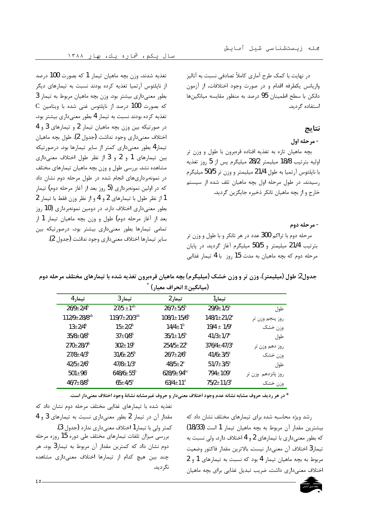در نهایت با کمک طرح آماری کاملاً تصادفی نسبت به آنالیز واریانس یکطرفه اقدام و در صورت وجود اختلافات، از آزمون دانكن با سطح اطمينان 95 درصد به منظور مقايسه ميانگينها استفاده گردید.

#### نتايج

### - مرحله اول

بچه ماهیان تازه به تغذیه افتاده قرهبرون با طول و وزن تر اوليه بترتيب 18/8 ميليمتر 28/2 ميليگرم پس از 5 روز تغذيه با ناپلئوس آرتميا به طول 21/4 ميليمتر و وزن تر 50/5 ميليگرم رسیدند. در طول مرحله اول بچه ماهیان تلف شده از سیستم خارج و از بچه ماهیان تانکر ذخیره جایگزین گردید.

#### - مرحله دوم

مرحله دوم با تراکم 300 عدد در هر تانکر و با طول و وزن تر بترتيب 21/4 ميليمتر و 50/5 ميليگرم آغاز گرديد. در پايان مرحله دوم که بچه ماهیان به مدت 15 روز با 4 تیمار غذایی

تغذيه شدند، وزن بچه ماهيان تيمار 1 كه بصورت 100 درصد از نایلئوس آرتمیا تغذیه کرده بودند نسبت به تیمارهای دیگر بطور معنیداری بیشتر بود. وزن بچه ماهیان مربوط به تیمار 3 C درصد از نایلئوس غنی شده با ویتامین C که بصورت تغذیه کرده بودند نسبت به تیمار 4 بطور معنیداری بیشتر بود، در صورتیکه بین وزن بچه ماهیان تیمار 2 و تیمارهای 3 و 4 اختلاف معنىدارى وجود نداشت (جدول 2). طول بچه ماهيان تیمار 4 بطور معنیداری کمتر از سایر تیمارها بود. درصورتیکه بین تیمارهای 1 و 2 و 3 از نظر طول اختلاف معنیداری مشاهده نشد. بررسی طول و وزن بچه ماهیان تیمارهای مختلف در نمونهبرداریهای انجام شده در طول مرحله دوم نشان داد که در اولین نمونهبرداری (5 روز بعد از آغاز مرحله دوم) تیمار 1 از نظر طول با تیمارهای 2 و 4 و از نظر وزن فقط با تیمار 2 بطور معنیداری اختلاف دارد. در دومین نمونهبرداری (10 روز بعد از آغاز مرحله دوم) طول و وزن بچه ماهیان تیمار 1 از تمامی تیمارها بطور معنیداری بیشتر بود، درصورتیکه بین ساير تيمارها اختلاف معنى دارى وجود نداشت (جدول 2).

جدول2: طول (میلیمتر)، وزن تر و وزن خشک (میلیگرم) بچه ماهیان قرهبرون تغذیه شده با تیمارهای مختلف مرحله دوم  $\hat{a}$ .  $\hat{b}$ .  $\hat{c}$ .  $\hat{c}$ .  $\hat{d}$ .  $\hat{c}$ .  $\hat{d}$ .  $\hat{c}$ .  $\hat{d}$ .  $\hat{c}$ .  $\hat{d}$ .  $\hat{c}$ .  $\hat{d}$ .  $\hat{c}$ .  $\hat{d}$ .  $\hat{c}$ .  $\hat{d}$ .  $\hat{c}$ .  $\hat{d}$ .  $\hat{c}$ .  $\hat{d}$ .  $\hat{c}$ .  $\hat{d}$ .  $\hat{c}$ .  $\hat{d$ 

|                    |                           | var - 1 - 1 - 1 - 1          |                                |                                |
|--------------------|---------------------------|------------------------------|--------------------------------|--------------------------------|
|                    | تيمار 1                   | تیمار 2                      | تیمار3                         | تیمار 4                        |
| طول                | $29/9 \pm 1/5^{\text{a}}$ | $26/7 \pm 5/5^{\rm b}$       | $27/5 \pm 1^{ab}$              | $26/9 \pm 2/4^b$               |
| روز پنجم وزن تر    | $148/1 \pm 21/2^a$        | $108/1 \pm 15/6^b$           | 119/7 $\pm$ 20/3 <sup>ab</sup> | $112/9 \pm 28/8$ <sup>ab</sup> |
| وزن خشک            | $19/4 \pm 1/9^a$          | $14/4 \pm 1^{b}$             | $15 \pm 2/2^{\rm b}$           | $13 \pm 2/4^{\rm b}$           |
| طول                | $41/3 \pm 1/7^{\rm a}$    | $35/1 \pm 1/5^b$             | $37 \pm 0/8^{\rm b}$           | $35/8 \pm 0/8^b$               |
| روز دهم وزن تر     | $376/4 + 47/3^a$          | $254/5+22^{b}$               | $302 \pm 19^{\rm b}$           | $270 \pm 28/7^{\rm b}$         |
| وزن خشک            | $41/6 + 3/5^{\rm a}$      | $26/7 + 2/6^b$               | $31/6 \pm 2/5^{\rm b}$         | $27/8 + 4/3^b$                 |
| طول                | $51/7 \pm 3/5^{\text{a}}$ | $48/5+2^a$                   | $47/8 + 1/3^a$                 | $42/5+2/6^b$                   |
| روز پانزدهم وزن تر | $794 + 109^{\rm a}$       | $628/9 \pm 94$ <sup>bc</sup> | $648/6 + 55^{b}$               | $501 + 96^{\circ}$             |
| وزن خشک            | $75/2 + 11/3^a$           | $63/4 \pm 11^a$              | $65 + 4/5^{\rm a}$             | $46/7 + 8/8^b$                 |

\* در هر رديف حروف مشابه نشانه عدم وجود اختلاف معنىدار و حروف غيرمشابه نشانة وجود اختلاف معنىدار است.

تغذیه شده با تیمارهای غذایی مختلف مرحله دوم نشان داد که مقدار آن در تیمار 2 بطور معنیداری نسبت به تیمارهای 3 و 4 كمتر ولي با تيمار 1 اختلاف معنى داري ندار د (جدول 3). بررسی میزان تلفات تیمارهای مختلف طی دوره 15 روزه مرحله دوم نشان داد که کمترین مقدار آن مربوط به تیمار3 بود، هر چند بین هیچ کدام از تیمارها اختلاف معنیداری مشاهده نگر دید.

رشد ویژه محاسبه شده برای تیمارهای مختلف نشان داد که بيشترين مقدار آن مربوط به بجه ماهيان تيمار 1 است (18/33) که بطور معنی داری با تیمارهای 2 و 4 اختلاف دارد. ولی نسبت به تيمار3 اختلاف آن معنىدار نيست. بالاترين مقدار فاكتور وضعيت مربوط به بجه ماهيان تيمار 4 بود كه نسبت به تيمارهاى 1 و 2 اختلاف معنیداری داشت. ضریب تبدیل غذایی برای بچه ماهیان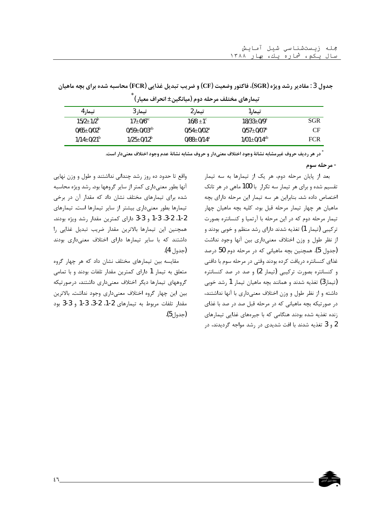|                              |                   | _ _ _ _ _ _ _ _    | - - -                |            |
|------------------------------|-------------------|--------------------|----------------------|------------|
| تيمار4                       | تيمار3            | تیمار 2            | تيمار 1              |            |
| $15/2+1/2^{b}$               | $17+0/6^{\rm ac}$ | $16/8 + 1^{\circ}$ | $18/33+0/9^a$        | SGR        |
| $0/65+0/02^b$                | $0/59+0/03^{ab}$  | $0/54+0/02^a$      | $0/57+0/07^{\rm a}$  | CF         |
| $1/14 \pm 0/21$ <sup>b</sup> | $1/25+0/12^b$     | $0/88 + 0/14^a$    | $1/01 \pm 0/14^{ab}$ | <b>FCR</b> |

جدول 3 : مقادیر رشد ویژه (SGR)، فاکتور وضعیت (CF) و ضریب تبدیل غذایی (FCR) محاسبه شده برای بچه ماهیان ِ<br>تيمارهاي مختلف مرحله دوم (ميانگين± انحراف معيار) <sup>^</sup>

<sup>\*</sup> در هر ردیف حروف غیرمشابه نشانهٔ وجود اختلاف معنیدار و حروف مشابه نشانهٔ عدم وجود اختلاف معنیدار است.

- مرحله سوم

بعد از پایان مرحله دوم، هر یک از تیمارها به سه تیمار تقسیم شده و برای هر تیمار سه تکرار با 100 ماهی در هر تانک اختصاص داده شد. بنابراین هر سه تیمار این مرحله دارای بچه ماهیان هر چهار تیمار مرحله قبل بود. کلیه بچه ماهیان چهار تیمار مرحله دوم که در این مرحله با آرتمیا و کنسانتره بصورت ترکیبی (تیمار 1) تغذیه شدند دارای رشد منظم و خوبی بودند و از نظر طول و وزن اختلاف معنى دارى بين آنها وجود نداشت (جدول 5). همچنین بچه ماهیانی که در مرحله دوم 50 درصد غذای کنسانتره دریافت کرده بودند وقتی در مرحله سوم با دافنی و کنسانتره بصورت ترکیبی (تیمار 2) و صد در صد کنسانتره (تیمار3) تغذیه شدند و همانند بچه ماهیان تیمار 1 رشد خوبی داشته و از نظر طول و وزن اختلاف معنی داری با آنها نداشتند، در صورتیکه بچه ماهیانی که در مرحله قبل صد در صد با غذای زنده تغذیه شده بودند هنگامی که با جیرههای غذایی تیمارهای 2 و 3 تغذیه شدند با افت شدیدی در رشد مواجه گردیدند، در

واقع تا حدود ده روز رشد چندانی نداشتند و طول و وزن نهایی آنها بطور معنىدارى كمتر از ساير گروهها بود. رشد ويژه محاسبه شده برای تیمارهای مختلف نشان داد که مقدار آن در برخی تیمارها بطور معنیداری بیشتر از سایر تیمارها است. تیمارهای 1-2، 2-3، 3-3 و 3-3 داراي كمترين مقدار رشد ويژه بودند. همچنین این تیمارها بالاترین مقدار ضریب تبدیل غذایی را داشتند که با سایر تیمارها دارای اختلاف معنیداری بودند (جدول 4).

مقایسه بین تیمارهای مختلف نشان داد که هر چهار گروه متعلق به تیمار 1 دارای کمترین مقدار تلفات بودند و با تمامی گروههای تیمارها دیگر اختلاف معنیداری داشتند، درصورتیکه بین این چهار گروه اختلاف معنیداری وجود نداشت. بالاترین مقدار تلفات مربوط به تيمارهاى 2-1، 2-3، 3-1 و 3-3 بود (جدول5).

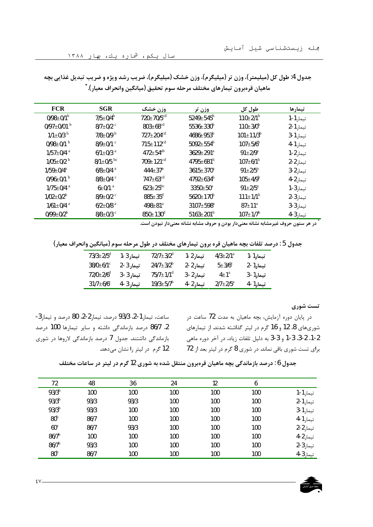| <b>FCR</b>                  | <b>SGR</b>                  | وزن خشک                     | وزن تر                    | طول کل                      | تيمارها   |
|-----------------------------|-----------------------------|-----------------------------|---------------------------|-----------------------------|-----------|
| $0/98 \pm 0/1^{\rm b}$      | $7/5 \pm 0/4$ <sup>b</sup>  | 720±70/5 <sup>cd</sup>      | $5249 \pm 545^{\rm b}$    | $110 \pm 2/1$ <sup>b</sup>  | تيمار 1-1 |
| 0/97 $\pm$ 0/01 $^{\rm b}$  | $8/7 \pm 0/2$ <sup>c</sup>  | $803 \pm 68^{\rm cd}$       | $5536 \pm 330^{\rm b}$    | $110 \pm 3/0^{\rm b}$       | تيمار 1-2 |
| $1/1 \pm 0/3$ <sup>b</sup>  | $7/8 \pm 0/9$ b             | $727 \pm 204$ <sup>cd</sup> | $4686 \pm 953^b$          | $101 \pm 11/3$ <sup>b</sup> | تيمار 1-3 |
| 0/98 $\pm$ 0/1 $^{\rm b}$   | $8/9 \pm 0/1$ $\degree$     | $715 \pm 112$ <sup>cd</sup> | $5092 \pm 554^{\rm b}$    | $107 \pm 5/6^{\rm b}$       | تيما, 1-4 |
| $1/57 + 0/4$ <sup>a</sup>   | $6/1 \pm 0/3$ <sup>a</sup>  | $472 \pm 54^{ab}$           | $3629 \pm 291^{\text{a}}$ | $91 \pm 2/9^a$              | تيمار 2-1 |
| $1/05 \pm 0/2$ <sup>b</sup> | $8/1 \pm 0/5$ <sup>bc</sup> | $709 \pm 121$ <sup>cd</sup> | $4795 \pm 681^{\rm b}$    | $107 \pm 6/1^{\rm b}$       | تيمار 2-2 |
| $1/59 \pm 0/4^a$            | $6/8 \pm 0/4$ <sup>a</sup>  | $444 \pm 37^{\text{a}}$     | $3615 \pm 370^a$          | $91 \pm 2/5^{\text{a}}$     | تيمار 2-3 |
| 0/96 $\pm$ 0/1 $^{\rm b}$   | $8/8 \pm 0/4$ $\degree$     | $747 \pm 63$ <sup>cd</sup>  | $4792 \pm 634^{\rm b}$    | $105 \pm 4/9^{\rm b}$       | تيمار 2-4 |
| $1/75 \pm 0/4$ <sup>a</sup> | $6 \pm 0/1$ <sup>a</sup>    | $623 \pm 25^{bc}$           | $3350+50^{\circ}$         | $91 \pm 2/5^{\text{a}}$     | تيمار 3-1 |
| $1/02 \pm 0/2^b$            | $8/9 \pm 0/2$ c             | $885 \pm 35^{\rm d}$        | $5620 \pm 170^b$          | $111 \pm 1/1^b$             | تيمار 3-2 |
| $1/61 \pm 0/4$ <sup>a</sup> | $6/2 \pm 0/8$ <sup>a</sup>  | $498 \pm 81^{\circ}$        | 3107±598 <sup>a</sup>     | $87 \pm 11^{\circ}$         | تيمار 3-3 |
| 0/99 $\pm$ 0/2 <sup>b</sup> | 8/8 $\pm$ 0/3 $\degree$     | $850 \pm 130^{\rm d}$       | $5163 \pm 201^b$          | $107 \pm 17^{b}$            | تيما, 3-4 |

جدول 4: طول كل (میلیمتر)، وزن تر (میلیگرم)، وزن خشک (میلیگرم)، ضریب رشد ویژه و ضریب تبدیل غذایی بچه ماهيان قرەبرون تيمارهاى مختلف مرحله سوم تحقيق (ميانگين وانحراف معيار). ُّ

در هر ستون حروف غیرمشابه نشانه معنیدار بودن و حروف مشابه نشانه معنیدار نبودن است.

جدول 5 : درصد تلفات بچه ماهیان قره برون تیمارهای مختلف در طول مرحله سوم (میانگین وانحراف معیار)

| $73/3 \pm 2/5^d$        | تيمار 3-1 | $72/7 \pm 3/2$ <sup>d</sup> | تيمار 2-1 | $4/3 \pm 2/1$ <sup>a</sup> | تيمار 1-1 |
|-------------------------|-----------|-----------------------------|-----------|----------------------------|-----------|
| $38/0 \pm 6/1$ °        | تيمار 3-2 | $24/7 \pm 3/2^b$            | تيمار 2-2 | $5 \pm 3/6^{\rm a}$        | تيمار1-2  |
| $72/0+2/6$ <sup>d</sup> | تيمار 3-3 | $75/7 \pm 1/1$ <sup>d</sup> | تيمار 2-3 | $4\pm1^{\mathrm{a}}$       | تيمار 1-3 |
| $31/7 \pm 6/6$ °        | تيمار 3-4 | 19/3 $\pm$ 5/7 $^{\rm b}$   | تيمار 2-4 | $2/7+2/5^a$                | تيمار 1-4 |

تست شوري

در پایان دوره آزمایش، بچه ماهیان به مدت 72 ساعت در شوریهای 8، 12 و 16 گرم در لیتر گذاشته شدند. از تیمارهای 1-2. 2-3. 3-3 و 3-3 به دليل تلفات زياد، در آخر دوره ماهي برای تست شوری باقی نماند. در شوری 8 گرم در لیتر بعد از 72

ساعت، تيمار 1-2، 93/3 درصد، تيمار 2-2، 80 درصد و تيمار 3-2. 86/7 درصد بازماندگی داشته و سایر تیمارها 100 درصد بازماندگی داشتند. جدول 7 درصد بازماندگی لاروها در شوری 12 گرم ۔ در لیتر را نشان می دهد.

جدول 6 : درصد بازماندگی بچه ماهیان قرهبرون منتقل شده به شوری 12 گرم در لیتر در ساعات مختلف

| 48<br>36<br>72<br>24<br>12<br>6<br>93/3 <sup>b</sup><br>100<br>100<br>100<br>100<br>100<br>93/3 <sup>b</sup><br>93/3<br>93/3<br>100<br>100<br>100<br>93/3 <sup>b</sup><br>93/3<br>100<br>100<br>100<br>100<br>80 <sup>b</sup><br>86/7<br>100<br>100<br>100<br>100<br>$60^{\rm a}$<br>86/7<br>93/3<br>100<br>100<br>100 |  |  |  |           |
|------------------------------------------------------------------------------------------------------------------------------------------------------------------------------------------------------------------------------------------------------------------------------------------------------------------------|--|--|--|-----------|
|                                                                                                                                                                                                                                                                                                                        |  |  |  |           |
|                                                                                                                                                                                                                                                                                                                        |  |  |  | تيمار 1-1 |
|                                                                                                                                                                                                                                                                                                                        |  |  |  | تيمار 1-2 |
|                                                                                                                                                                                                                                                                                                                        |  |  |  | تيمار 1-3 |
|                                                                                                                                                                                                                                                                                                                        |  |  |  | تيمار 1-4 |
|                                                                                                                                                                                                                                                                                                                        |  |  |  | تيمار 2-2 |
| $86/7^b$<br>100<br>100<br>100<br>100<br>100                                                                                                                                                                                                                                                                            |  |  |  | تيمار 2-4 |
| $86/7^b$<br>93/3<br>100<br>100<br>100<br>100                                                                                                                                                                                                                                                                           |  |  |  | تيمار 3-2 |
| 80 <sup>b</sup><br>86/7<br>100<br>100<br>100<br>100                                                                                                                                                                                                                                                                    |  |  |  | تيمار 3-4 |

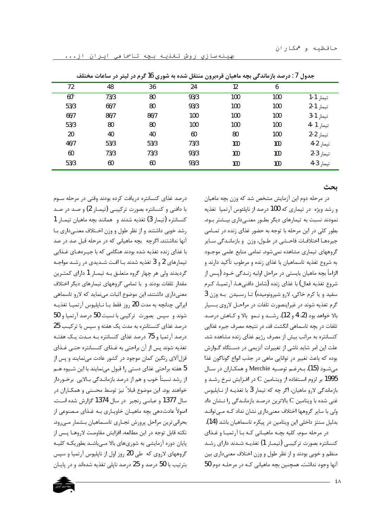| جدول / :درصد بازماندگی بچه ماهیان قرهبرون منتقل شده به شوری 16 گرم در لیتر در ساعات مختلف |      |      |      |     |     |           |
|-------------------------------------------------------------------------------------------|------|------|------|-----|-----|-----------|
| 72                                                                                        | 48   | 36   | 24   | 12  | 6   |           |
| 60 <sup>b</sup>                                                                           | 73/3 | 80   | 93/3 | 100 | 100 | تيمار 1-1 |
| 53/3                                                                                      | 66/7 | 80   | 93/3 | 100 | 100 | تيمار 1-2 |
| 66/7                                                                                      | 86/7 | 86/7 | 100  | 100 | 100 | تيمار 1-3 |
| 53/3                                                                                      | 80   | 80   | 100  | 100 | 100 | تيما, 1-4 |
| 20                                                                                        | 40   | 40   | 60   | 80  | 100 | تيمار 2-2 |
| 46/7                                                                                      | 53/3 | 53/3 | 73/3 | 100 | 100 | تيمار 2-4 |
| 60                                                                                        | 73/3 | 73/3 | 93/3 | 100 | 100 | تيمار 3-2 |
| 53/3                                                                                      | 60   | 60   | 93/3 | 100 | 100 | تيما, 3-4 |

بهینهسازی روش تغذیه بچه تاسماهی ایران از...

ىحث

درصد غذای کنسانتره دریافت کرده بودند وقتی در مرحله سـوم با دافنی و کنسانتره بصورت ترکیبے (تیمـار 2) و صـد در صـد كنسانتره (تيمار 3) تغذيه شدند و همانند بجه ماهيان تيمـار 1 رشد خوبی داشتند و از نظر طول و وزن اخـتلاف معنــی۱داری بـا آنها نداشتند. اگرچه بچه ماهیانی که در مرحله قبل صد در صد با غذای زنده تغذیه شده بودند هنگامی که با جیـرههـای غـذایی تیمارهای 2 و 3 تغذیه شدند بـا افـت شــدیدی در رشــد مواجـه گردیدند ولی هر چهار گروه متعلـق بـه تیمـار 1 دارای کمتـرین مقدار تلفات بودند و با تمامی گروههای تیمارهای دیگر اختلاف معنیداری داشتند. این موضوع اثبات مینماید که لارو تاسماهی ايراني چنانچه به مدت 20 روز فقط بـا نــايليوس آرتميــا تغذيــه شوند و سپس بصورت ترکیبی با نسبت 50 درصد آرتمیا و 50 درصد غذای کنستانتره به مدت یک هفته و سیس با ترکیب 25 درصد آرتمیا و 75 درصد غذای کنسانتره بـه مـدت یـک هفتـه تغذیه شوند پس از آن براحتی به غـذای کنــسانتره حتــی غـذای قزل آلای رنگین کمان موجود در کشور عادت مینمایند و پس از 5 هفته براحتی غذای دستی را قبول مینمایند با این شــیوه هــم از رشد نسبتاً خوب و هم از درصد بازمانـدگی بـالایی برخـوردار خواهند بود. این موضوع قبلا ً نیز توسط محسنی و همکـاران در سال 1377 و عباسی رنجبر در سال 1374 گزارش شده است. اصولاً عادت دهي بچه ماهيــان خاويــاري بــه غــذاي مـصنوعي از بحراني ترين مراحل پرورش تجـاري تاسـماهيان بـشمار مـيرود. نكته قابل توجه در اين مطالعه، افزايش مقاومت لاروهـا پـس از پایان دوره آزمایشی به شوریهای بالا مـیباشـد بطوریکـه کلیـه گروههای لاروی که طی 20 روز اول از ناپلیوس آرتمیا و سپس بترتیب با 50 درصد و 25 درصد ناپلی تغذیه شدهاند و در پایـان در مرحله دوم این آزمایش مشخص شد که وزن بچه ماهیان و رشد ویژه در تیماری که 100 درصد از نایلئوس آرتمیا تغذیه نمودند نسبت به تیمارهای دیگر بطور معنـیداری بیـشتر بـود. بطور کلی در این مرحله با توجه به حضور غذای زنده در تمـامی جيرههـا اختلافـات فاحـشى در طـول، وزن وبازمانـدگي سـاير گروههای تیماری مشاهده نمی شود. تمامی منابع علمی موجـود به شروع تغذیه تاسماهیان با غذای زنده و مرطوب تأکید دارند و الزاماً بچه ماهیان بایستی در مراحل اولیه زنـدگی خــود (پــس از شروع تغذيه فعال) با غذاي زنده (شامل دافنيهـا، آرتميـا، كـرم سفید و یا کرم خاکی، لارو شیرونومیده) تـا رسـیدن بـه وزن 3 گرم تغذيه شوند در غيراينصورت تلفات در مراحـل لاروي بــسيار بالا خواهد بود (2، 4 و 12). رشــد و نـمو بالا و كـاهش درصـد تلفات در بچه تاسماهی انگشت قد، در نتیجه مصرف جیره غذایی كنسانتره به مراتب بيش از مصرف رژيم غذاي زنده مشاهده شد. علت این امر شاید ناشی از تغییرات آنزیمی در دسـتگاه گـوارش بوده که باعث تغییر در توانایی ماهی در جذب انواع گوناگون غذا مي شـود (15). بــهرغــم توصـيه Merchie و همكـاران در سـال 1995 بر لزوم اسـتفاده از ويتـامين C در افـزايش نـرخ رشـد و بازماندگی لارو ماهیان، اگر چه که تیمار 3 با تغذیــه از نــایلیوس غنی شده با ویتامین C بالاترین درصـد بازمانـدگی را نـشان داد ولی با سایر گروهها اختلاف معنیداری نشان نداد کـه مـیتوانـد بدليل سنتز داخلي اين ويتامين در پيكره تاسماهيان باشد (14). در مرحله سوم، کلیه بچـه ماهیـانی کـه بـا آرتمیـا و غـذای

کنسانتره بصورت ترکیبے (تیمـار 1) تغذیـه شـدند دارای رشـد منظم و خوبی بودند و از نظر طول و وزن اختلاف معنیداری بین آنها وجود نداشت. همچنین بچه ماهیانی کـه در مرحلـه دوم 50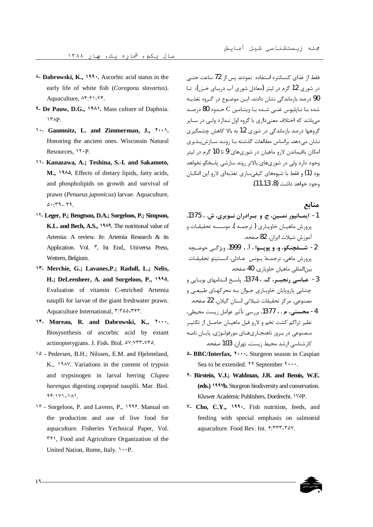- ^- Dabrowski, K., 199. Ascorbic acid status in the early life of white fish (Coregonu slavartus). Aquaculture,  $\Lambda^{\rho}$ :  $\ell \rightarrow \nu \ell$ .
- <sup>4</sup>- De Pauw, D.G., 1941. Mass culture of Daphnia. **ITAP.**
- 1. Gaumnitz, L. and Zimmerman, J., ۲۰۰۱. Honoring the ancient ones. Wisconsin Natural Resources, *N.P.*
- 11- Kanazawa, A.; Teshina, S.-I. and Sakamoto, M., 1944. Effects of dietary lipids, fatty acids, and phospholipids on growth and survival of prawn (Penaeus japonicus) larvae. Aquaculture,  $0.79 - 99$
- 17- Leger, P.; Bengtson, D.A.; Sorgeloos, P.; Simpson, K.L. and Bech, A.S., 1949. The nutritional value of Artemia: A review. *In*: Artemia Research & its Application. Vol. <sup>r</sup>, Ist End., Universa Press, Wettern, Belgium.
- 17- Merchie, G.; Lavanes, P.; Radull, L.; Nelis, H.; DeLeenheer, A. and Sorgeloos, P., 1994. Evaluation of vitamin C-enriched Artemia nauplli for larvae of the giant freshwater prawn. Aquaculture International, ٣:٣٥٥-٣٤٣.
- 14. Moreau, R. and Dabrowski, K., Y.... Biosysnthesis of ascorbic acid by extant actinopterygians. J. Fish. Biol. <sup>2V:VTT-VF2</sup>.
- 14 Pedersen, B.H.; Nilssen, E.M. and Hjelmeland, K., 1948. Variations in the content of trypsin and trypsinogen in larval herring Clupea harengus digesting copepod nauplii. Mar. Biol.  $99:111 - 11.$
- 19 Sorgeloos, P. and Lavens, P., 1997. Manual on the production and use of live food for aquaculture. Fisheries Yechnical Paper, Vol.  $\uparrow\uparrow$ . Food and Agriculture Organization of the United Nation, Rome, Italy. V.P.

فقط از غذای کنسانتره استفاده نمودند پس از 72 ساعت حتبی در شوری 12 گرم در لیتر (معادل شوری آب دریـای خـزر)، تـا 90 درصد بازماندگی نشان دادند. ایـن موضـوع در گـروه تغذیـه شده بـا نـايليوس غنــى شــده بـا ويتـامين C حـدود 80 درصـد می باشد که اختلاف معنی داری با گروه اول نـدارد ولـی در سـایر گروهها درصد بازماندگی در شوری 12 به بالا کاهش چشمگیری نشان می دهد. براساس مطالعات گذشته بـا رونـد سـازش بـذیری امکان باقیماندن لارو ماهیان در شوریهای 9 تا 10 گرم در لیتر وجود دارد ولي در شوريهاي بالاتر روند سازشي پاسخگو نخواهد بود (1) و فقط با شیوههای کیفی سازی تغذیهای لارو این امکـان وجود خواهد داشت (8، 11،13).

#### منابع

- 1- ايمــانپور نمــين، ج. و بــرادران نــويري، ش. ، 1375. پرورش ماهیـان خاویـاری (ترجمـه ). موسـسه تحقیقـات و آموزش شيلات ايران. 82 صفحه.
- 2- شــفچنکو، و. و يويــوا ، آ. ، 1999. ويژگـي حوضـڃه پرورش ماهي. ترجمـه: يـونس عـادلي. انـستيتو تحقيقـات بينالمللي ماهيان خاوياري. 40 صفحه.
- 3- عباسی رنجیسر، ک. ، 1374. پاسخ انبدامهای بوییایی و چشایی پاروپایان خاویـاری جـوان بـه محرکهـای طبیعـی و مصنوعي. مركز تحقيقات شيلاتي استان گيلان. 22 صفحه.
- 4- محسنی، م . ، 1377. بررسی تأثیر عوامل زیست محیطی، .<br>نظیر تراکم کشت تخم و لارو فیل ماهیـان حاصـل از تکثیـر مـصنوعي در بـروز ناهنجـاريهـاي مورفولـوژي. پايـان نامـه کارشناسی ارشد محیط زیست، تهران. 103 صفحه.
- <sup>2</sup>- BBC/Interfax, <sup>1</sup>..., Sturgeon season in Caspian Sea to be extended.  $YY$  September  $Y \cdots$ .
- <sup>2</sup>- Birstein, V.J.; Waldman, J.R. and Bemis, W.E. (eds.) 1997b. Sturgeon biodiversity and conservation. Kluwer Academic Publishers, Dordrecht. VVP.
- V- Cho, C.Y., 199. Fish nutrition, feeds, and feeding with special emphasis on salmonid aquaculture. Food Rev. Int. 5: TTT-TAV.